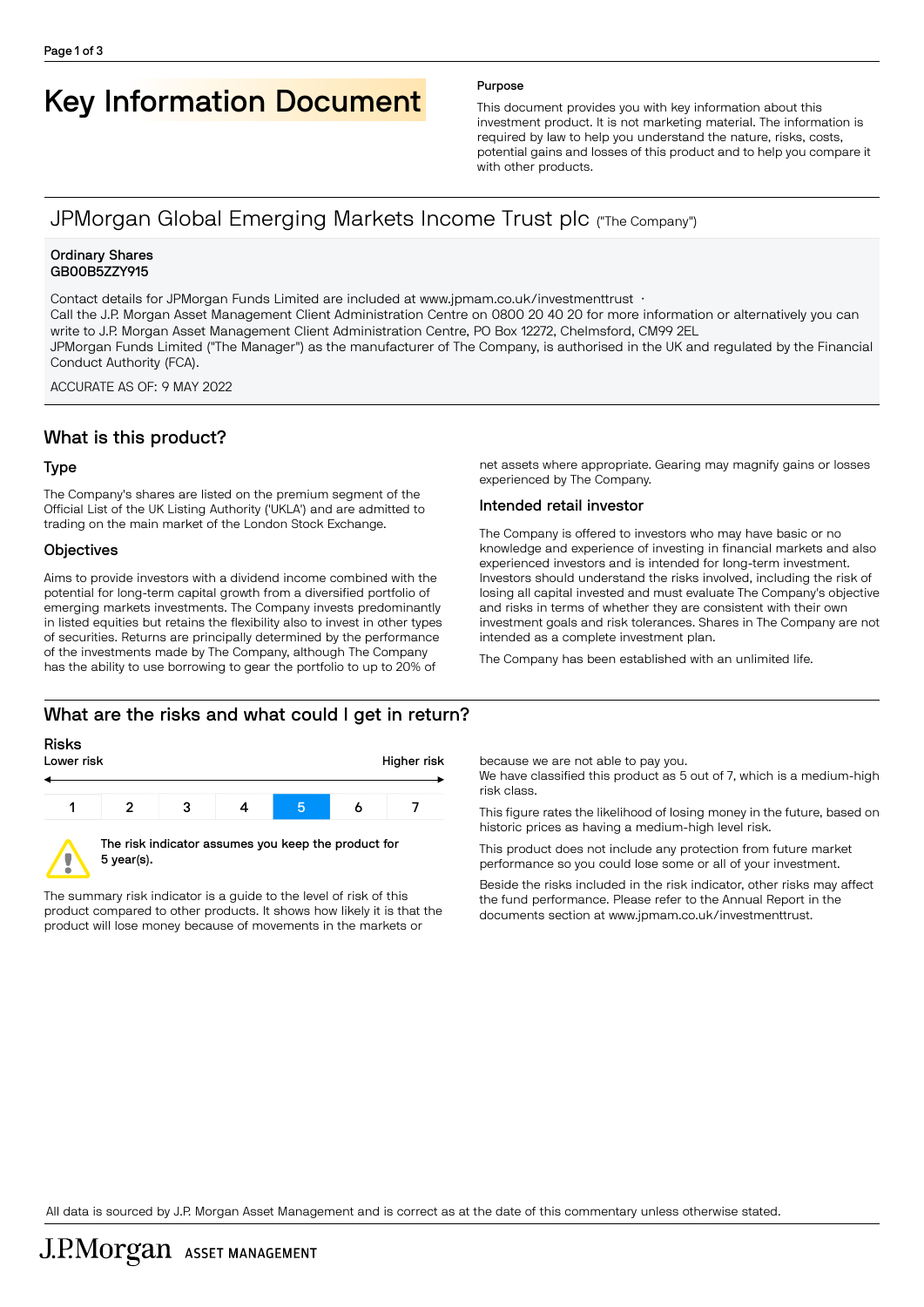# Key Information Document Purpose

This document provides you with key information about this investment product. It is not marketing material. The information is required by law to help you understand the nature, risks, costs, potential gains and losses of this product and to help you compare it with other products.

# JPMorgan Global Emerging Markets Income Trust plc ("The Company")

#### Ordinary Shares GB00B5ZZY915

Contact details for JPMorgan Funds Limited are included at www.jpmam.co.uk/investmenttrust · Call the J.P. Morgan Asset Management Client Administration Centre on 0800 20 40 20 for more information or alternatively you can write to J.P. Morgan Asset Management Client Administration Centre, PO Box 12272, Chelmsford, CM99 2EL JPMorgan Funds Limited ("The Manager") as the manufacturer of The Company, is authorised in the UK and regulated by the Financial Conduct Authority (FCA).

ACCURATE AS OF: 9 MAY 2022

# What is this product?

### Type

The Company's shares are listed on the premium segment of the Official List of the UK Listing Authority ('UKLA') and are admitted to trading on the main market of the London Stock Exchange.

### **Objectives**

Aims to provide investors with a dividend income combined with the potential for long-term capital growth from a diversified portfolio of emerging markets investments. The Company invests predominantly in listed equities but retains the flexibility also to invest in other types of securities. Returns are principally determined by the performance of the investments made by The Company, although The Company has the ability to use borrowing to gear the portfolio to up to 20% of

net assets where appropriate. Gearing may magnify gains or losses experienced by The Company.

### Intended retail investor

The Company is offered to investors who may have basic or no knowledge and experience of investing in financial markets and also experienced investors and is intended for long-term investment. Investors should understand the risks involved, including the risk of losing all capital invested and must evaluate The Company's objective and risks in terms of whether they are consistent with their own investment goals and risk tolerances. Shares in The Company are not intended as a complete investment plan.

The Company has been established with an unlimited life.

# What are the risks and what could I get in return?

#### Risks

Ţ



5 year(s).

The summary risk indicator is a guide to the level of risk of this product compared to other products. It shows how likely it is that the product will lose money because of movements in the markets or

because we are not able to pay you.

We have classified this product as 5 out of 7, which is a medium-high risk class.

This figure rates the likelihood of losing money in the future, based on historic prices as having a medium-high level risk.

This product does not include any protection from future market performance so you could lose some or all of your investment.

Beside the risks included in the risk indicator, other risks may affect the fund performance. Please refer to the Annual Report in the documents section at [www.jpmam.co.uk/investmenttrust.](www.jpmam.co.uk/investmenttrust)

All data is sourced by J.P. Morgan Asset Management and is correct as at the date of this commentary unless otherwise stated.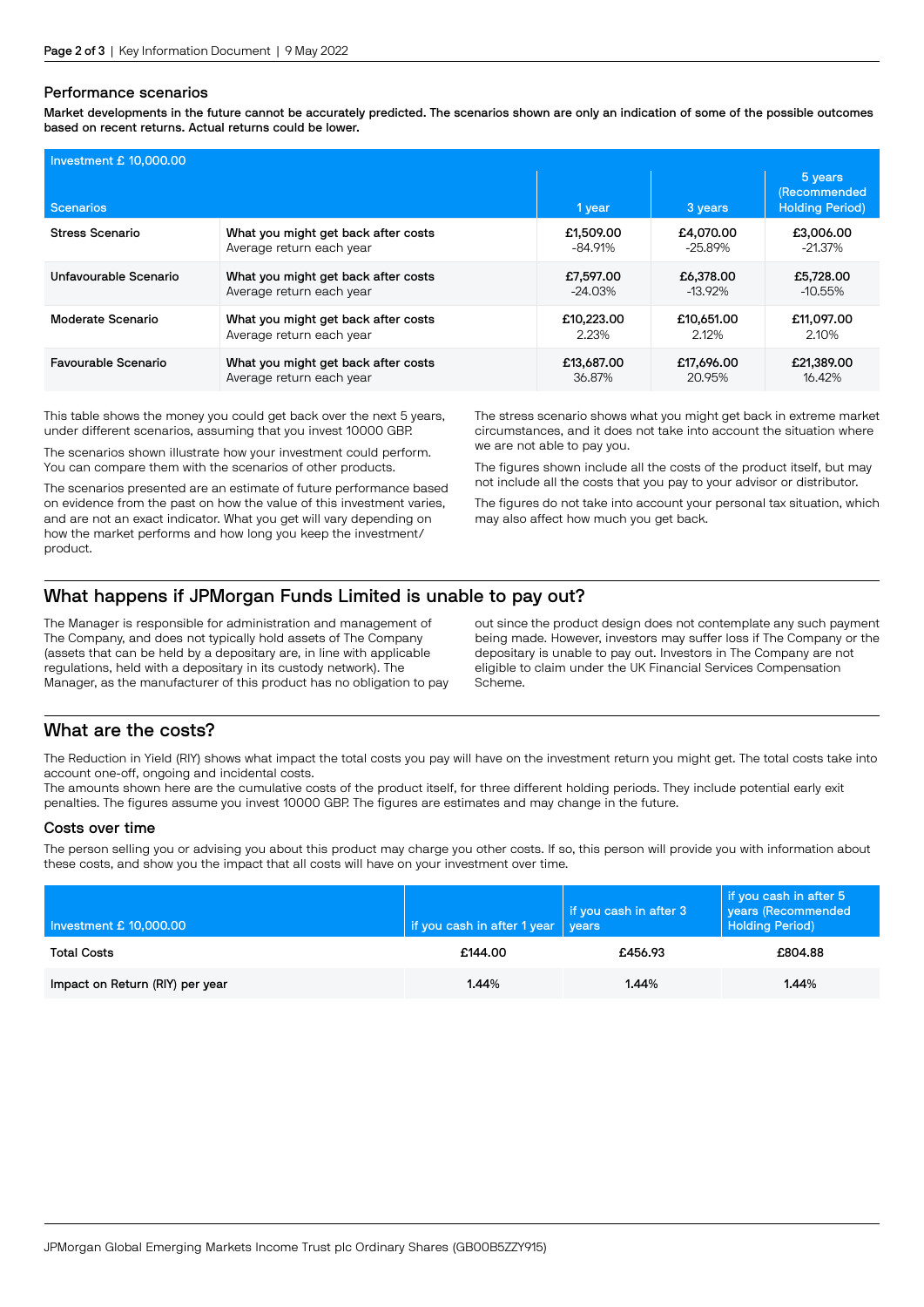#### Performance scenarios

Market developments in the future cannot be accurately predicted. The scenarios shown are only an indication of some of the possible outcomes based on recent returns. Actual returns could be lower.

| Investment £ 10,000.00 |                                     |            |            |                                                          |  |  |
|------------------------|-------------------------------------|------------|------------|----------------------------------------------------------|--|--|
| <b>Scenarios</b>       |                                     | 1 year     | 3 years    | 5 years<br><b>(Recommended</b><br><b>Holding Period)</b> |  |  |
| Stress Scenario        | What you might get back after costs | £1,509.00  | £4,070,00  | £3,006,00                                                |  |  |
|                        | Average return each year            | $-84.91%$  | $-25.89%$  | $-21.37%$                                                |  |  |
| Unfavourable Scenario  | What you might get back after costs | £7.597.00  | £6,378,00  | £5,728,00                                                |  |  |
|                        | Average return each year            | $-24.03\%$ | $-13.92\%$ | $-10.55%$                                                |  |  |
| Moderate Scenario      | What you might get back after costs | £10,223,00 | £10,651,00 | £11.097.00                                               |  |  |
|                        | Average return each year            | 2.23%      | 2.12%      | 2.10%                                                    |  |  |
| Favourable Scenario    | What you might get back after costs | £13,687.00 | £17,696.00 | £21,389.00                                               |  |  |
|                        | Average return each year            | 36.87%     | 20.95%     | 16.42%                                                   |  |  |

This table shows the money you could get back over the next 5 years, under different scenarios, assuming that you invest 10000 GBP.

The scenarios shown illustrate how your investment could perform. You can compare them with the scenarios of other products.

The scenarios presented are an estimate of future performance based on evidence from the past on how the value of this investment varies, and are not an exact indicator. What you get will vary depending on how the market performs and how long you keep the investment/ product.

The stress scenario shows what you might get back in extreme market circumstances, and it does not take into account the situation where we are not able to pay you.

The figures shown include all the costs of the product itself, but may not include all the costs that you pay to your advisor or distributor.

The figures do not take into account your personal tax situation, which may also affect how much you get back.

# What happens if JPMorgan Funds Limited is unable to pay out?

The Manager is responsible for administration and management of The Company, and does not typically hold assets of The Company (assets that can be held by a depositary are, in line with applicable regulations, held with a depositary in its custody network). The Manager, as the manufacturer of this product has no obligation to pay out since the product design does not contemplate any such payment being made. However, investors may suffer loss if The Company or the depositary is unable to pay out. Investors in The Company are not eligible to claim under the UK Financial Services Compensation Scheme.

# What are the costs?

The Reduction in Yield (RIY) shows what impact the total costs you pay will have on the investment return you might get. The total costs take into account one-off, ongoing and incidental costs.

The amounts shown here are the cumulative costs of the product itself, for three different holding periods. They include potential early exit penalties. The figures assume you invest 10000 GBP. The figures are estimates and may change in the future.

#### Costs over time

The person selling you or advising you about this product may charge you other costs. If so, this person will provide you with information about these costs, and show you the impact that all costs will have on your investment over time.

| Investment £ 10,000.00          | if you cash in after 1 year | if you cash in after 3<br><i>vears</i> | if you cash in after 5<br>years (Recommended<br><b>Holding Period)</b> |
|---------------------------------|-----------------------------|----------------------------------------|------------------------------------------------------------------------|
| <b>Total Costs</b>              | £144.00                     | £456.93                                | £804.88                                                                |
| Impact on Return (RIY) per year | 1.44%                       | 1.44%                                  | 1.44%                                                                  |